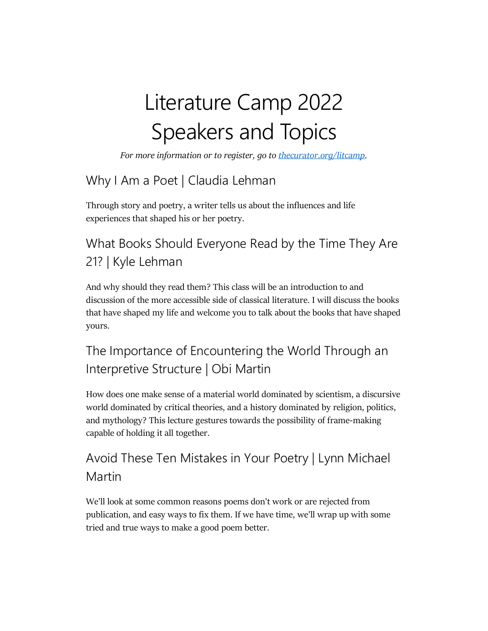# Literature Camp 2022 Speakers and Topics

*For more information or to register, go to [thecurator.org/litcamp.](https://thecurator.org/litcamp/)*

## Why I Am a Poet | Claudia Lehman

Through story and poetry, a writer tells us about the influences and life experiences that shaped his or her poetry.

## What Books Should Everyone Read by the Time They Are 21? | Kyle Lehman

And why should they read them? This class will be an introduction to and discussion of the more accessible side of classical literature. I will discuss the books that have shaped my life and welcome you to talk about the books that have shaped yours.

## The Importance of Encountering the World Through an Interpretive Structure | Obi Martin

How does one make sense of a material world dominated by scientism, a discursive world dominated by critical theories, and a history dominated by religion, politics, and mythology? This lecture gestures towards the possibility of frame-making capable of holding it all together.

## Avoid These Ten Mistakes in Your Poetry | Lynn Michael Martin

We'll look at some common reasons poems don't work or are rejected from publication, and easy ways to fix them. If we have time, we'll wrap up with some tried and true ways to make a good poem better.